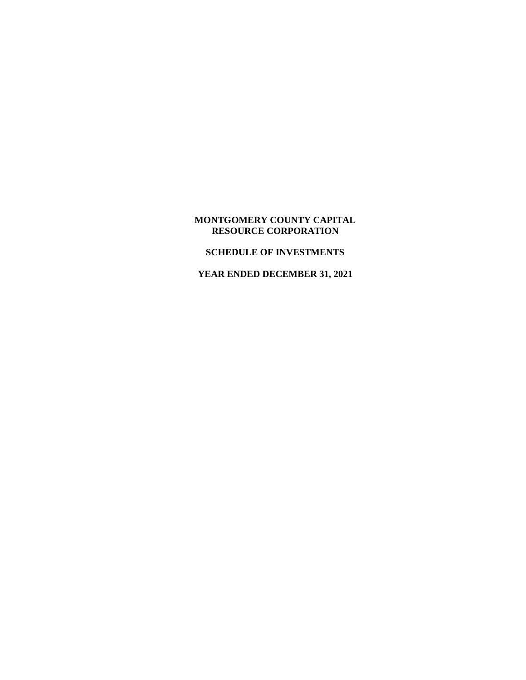# **MONTGOMERY COUNTY CAPITAL RESOURCE CORPORATION**

## **SCHEDULE OF INVESTMENTS**

**YEAR ENDED DECEMBER 31, 2021**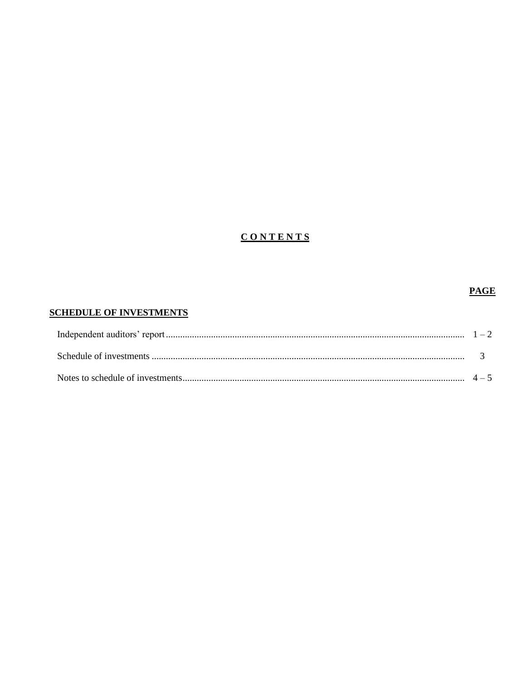# **CONTENTS**

# **PAGE**

# **SCHEDULE OF INVESTMENTS**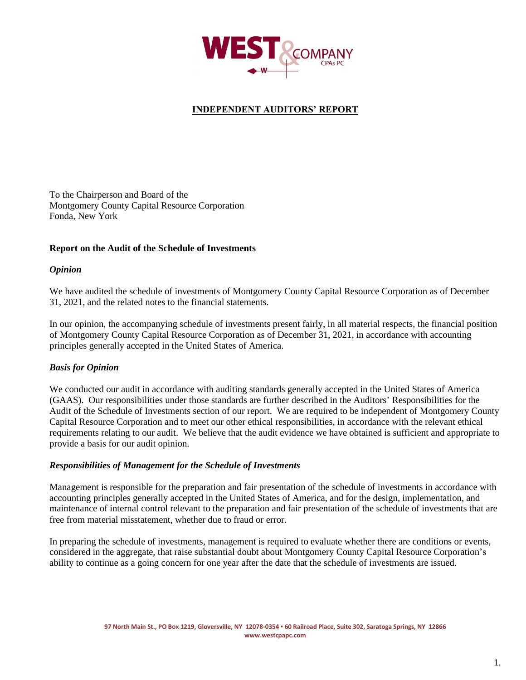

# **INDEPENDENT AUDITORS' REPORT**

To the Chairperson and Board of the Montgomery County Capital Resource Corporation Fonda, New York

### **Report on the Audit of the Schedule of Investments**

#### *Opinion*

We have audited the schedule of investments of Montgomery County Capital Resource Corporation as of December 31, 2021, and the related notes to the financial statements.

In our opinion, the accompanying schedule of investments present fairly, in all material respects, the financial position of Montgomery County Capital Resource Corporation as of December 31, 2021, in accordance with accounting principles generally accepted in the United States of America.

### *Basis for Opinion*

We conducted our audit in accordance with auditing standards generally accepted in the United States of America (GAAS). Our responsibilities under those standards are further described in the Auditors' Responsibilities for the Audit of the Schedule of Investments section of our report. We are required to be independent of Montgomery County Capital Resource Corporation and to meet our other ethical responsibilities, in accordance with the relevant ethical requirements relating to our audit. We believe that the audit evidence we have obtained is sufficient and appropriate to provide a basis for our audit opinion.

#### *Responsibilities of Management for the Schedule of Investments*

Management is responsible for the preparation and fair presentation of the schedule of investments in accordance with accounting principles generally accepted in the United States of America, and for the design, implementation, and maintenance of internal control relevant to the preparation and fair presentation of the schedule of investments that are free from material misstatement, whether due to fraud or error.

In preparing the schedule of investments, management is required to evaluate whether there are conditions or events, considered in the aggregate, that raise substantial doubt about Montgomery County Capital Resource Corporation's ability to continue as a going concern for one year after the date that the schedule of investments are issued.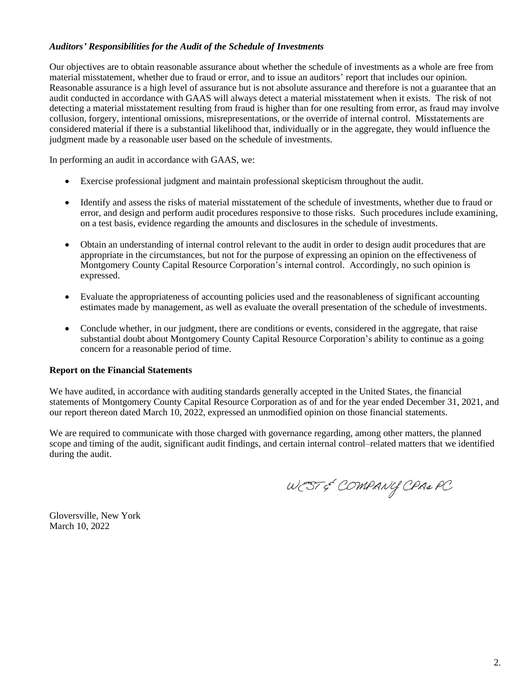# *Auditors' Responsibilities for the Audit of the Schedule of Investments*

Our objectives are to obtain reasonable assurance about whether the schedule of investments as a whole are free from material misstatement, whether due to fraud or error, and to issue an auditors' report that includes our opinion. Reasonable assurance is a high level of assurance but is not absolute assurance and therefore is not a guarantee that an audit conducted in accordance with GAAS will always detect a material misstatement when it exists. The risk of not detecting a material misstatement resulting from fraud is higher than for one resulting from error, as fraud may involve collusion, forgery, intentional omissions, misrepresentations, or the override of internal control. Misstatements are considered material if there is a substantial likelihood that, individually or in the aggregate, they would influence the judgment made by a reasonable user based on the schedule of investments.

In performing an audit in accordance with GAAS, we:

- Exercise professional judgment and maintain professional skepticism throughout the audit.
- Identify and assess the risks of material misstatement of the schedule of investments, whether due to fraud or error, and design and perform audit procedures responsive to those risks. Such procedures include examining, on a test basis, evidence regarding the amounts and disclosures in the schedule of investments.
- Obtain an understanding of internal control relevant to the audit in order to design audit procedures that are appropriate in the circumstances, but not for the purpose of expressing an opinion on the effectiveness of Montgomery County Capital Resource Corporation's internal control. Accordingly, no such opinion is expressed.
- Evaluate the appropriateness of accounting policies used and the reasonableness of significant accounting estimates made by management, as well as evaluate the overall presentation of the schedule of investments.
- Conclude whether, in our judgment, there are conditions or events, considered in the aggregate, that raise substantial doubt about Montgomery County Capital Resource Corporation's ability to continue as a going concern for a reasonable period of time.

#### **Report on the Financial Statements**

We have audited, in accordance with auditing standards generally accepted in the United States*,* the financial statements of Montgomery County Capital Resource Corporation as of and for the year ended December 31, 2021, and our report thereon dated March 10, 2022, expressed an unmodified opinion on those financial statements.

We are required to communicate with those charged with governance regarding, among other matters, the planned scope and timing of the audit, significant audit findings, and certain internal control–related matters that we identified during the audit.

WEST & COMPANY CPA& PC

Gloversville, New York March 10, 2022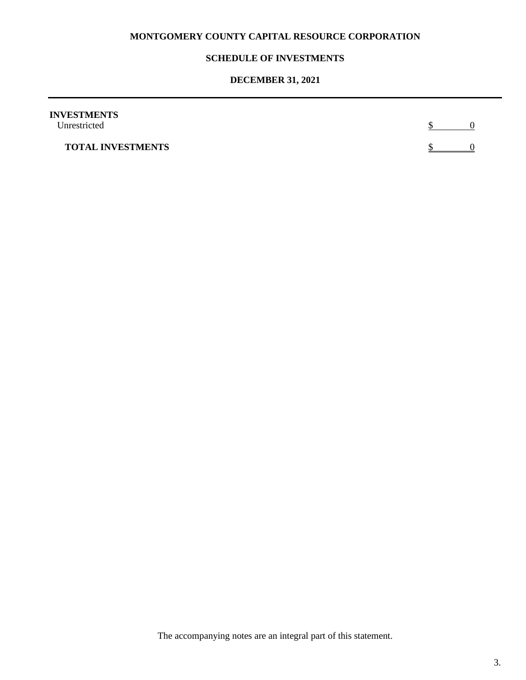# **MONTGOMERY COUNTY CAPITAL RESOURCE CORPORATION**

## **SCHEDULE OF INVESTMENTS**

# **DECEMBER 31, 2021**

| <b>INVESTMENTS</b><br>Unrestricted |  |
|------------------------------------|--|
| <b>TOTAL INVESTMENTS</b>           |  |

The accompanying notes are an integral part of this statement.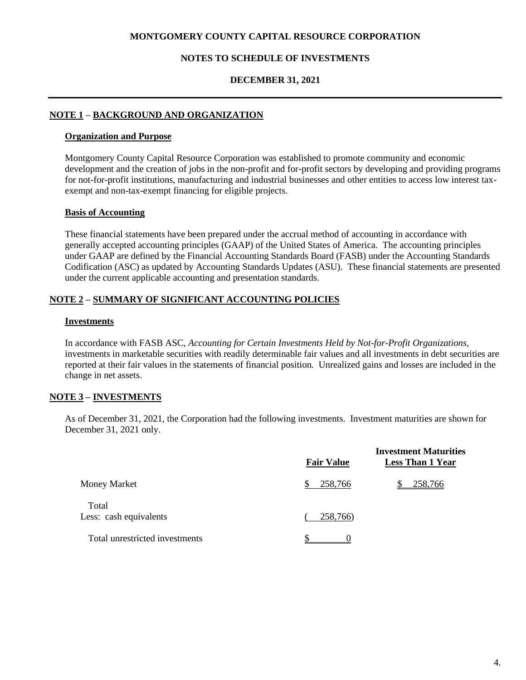### **MONTGOMERY COUNTY CAPITAL RESOURCE CORPORATION**

#### **NOTES TO SCHEDULE OF INVESTMENTS**

### **DECEMBER 31, 2021**

# **NOTE 1 – BACKGROUND AND ORGANIZATION**

#### **Organization and Purpose**

Montgomery County Capital Resource Corporation was established to promote community and economic development and the creation of jobs in the non-profit and for-profit sectors by developing and providing programs for not-for-profit institutions, manufacturing and industrial businesses and other entities to access low interest taxexempt and non-tax-exempt financing for eligible projects.

#### **Basis of Accounting**

These financial statements have been prepared under the accrual method of accounting in accordance with generally accepted accounting principles (GAAP) of the United States of America. The accounting principles under GAAP are defined by the Financial Accounting Standards Board (FASB) under the Accounting Standards Codification (ASC) as updated by Accounting Standards Updates (ASU). These financial statements are presented under the current applicable accounting and presentation standards.

# **NOTE 2 – SUMMARY OF SIGNIFICANT ACCOUNTING POLICIES**

#### **Investments**

In accordance with FASB ASC, *Accounting for Certain Investments Held by Not-for-Profit Organizations,*  investments in marketable securities with readily determinable fair values and all investments in debt securities are reported at their fair values in the statements of financial position. Unrealized gains and losses are included in the change in net assets.

### **NOTE 3 – INVESTMENTS**

As of December 31, 2021, the Corporation had the following investments. Investment maturities are shown for December 31, 2021 only.

|                                 | <b>Fair Value</b> | <b>Investment Maturities</b><br><b>Less Than 1 Year</b> |
|---------------------------------|-------------------|---------------------------------------------------------|
| Money Market                    | 258,766           | 258,766                                                 |
| Total<br>Less: cash equivalents | 258,766)          |                                                         |
| Total unrestricted investments  |                   |                                                         |